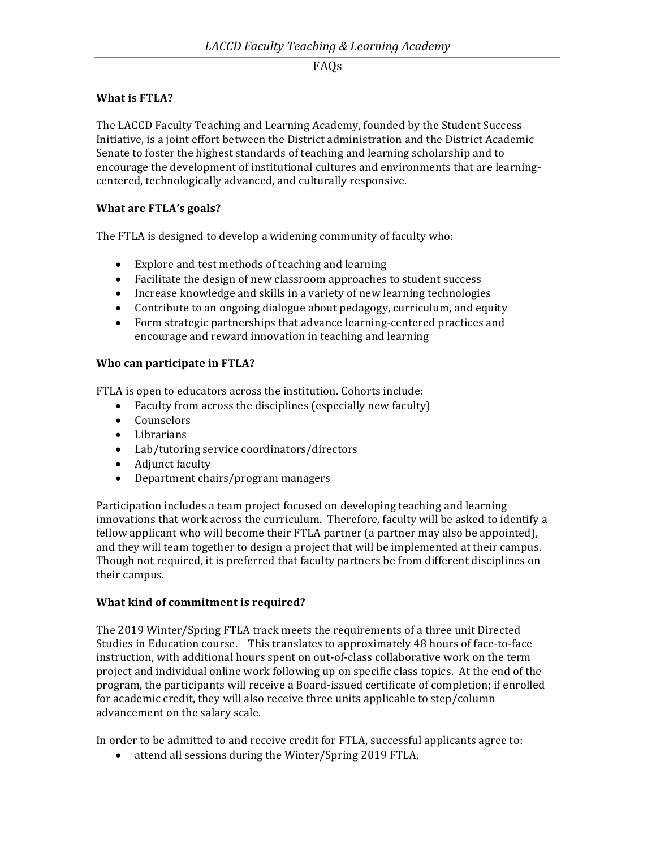### **What is FTLA?**

The LACCD Faculty Teaching and Learning Academy, founded by the Student Success Initiative, is a joint effort between the District administration and the District Academic Senate to foster the highest standards of teaching and learning scholarship and to encourage the development of institutional cultures and environments that are learningcentered, technologically advanced, and culturally responsive.

### **What are FTLA's goals?**

The FTLA is designed to develop a widening community of faculty who:

- Explore and test methods of teaching and learning
- Facilitate the design of new classroom approaches to student success
- Increase knowledge and skills in a variety of new learning technologies
- Contribute to an ongoing dialogue about pedagogy, curriculum, and equity
- Form strategic partnerships that advance learning-centered practices and encourage and reward innovation in teaching and learning

### **Who can participate in FTLA?**

FTLA is open to educators across the institution. Cohorts include:

- Faculty from across the disciplines (especially new faculty)
- Counselors
- Librarians
- Lab/tutoring service coordinators/directors
- Adjunct faculty
- Department chairs/program managers

Participation includes a team project focused on developing teaching and learning innovations that work across the curriculum. Therefore, faculty will be asked to identify a fellow applicant who will become their FTLA partner (a partner may also be appointed), and they will team together to design a project that will be implemented at their campus. Though not required, it is preferred that faculty partners be from different disciplines on their campus.

#### **What kind of commitment is required?**

The 2019 Winter/Spring FTLA track meets the requirements of a three unit Directed Studies in Education course. This translates to approximately 48 hours of face-to-face instruction, with additional hours spent on out-of-class collaborative work on the term project and individual online work following up on specific class topics. At the end of the program, the participants will receive a Board-issued certificate of completion; if enrolled for academic credit, they will also receive three units applicable to step/column advancement on the salary scale.

In order to be admitted to and receive credit for FTLA, successful applicants agree to:

• attend all sessions during the Winter/Spring 2019 FTLA,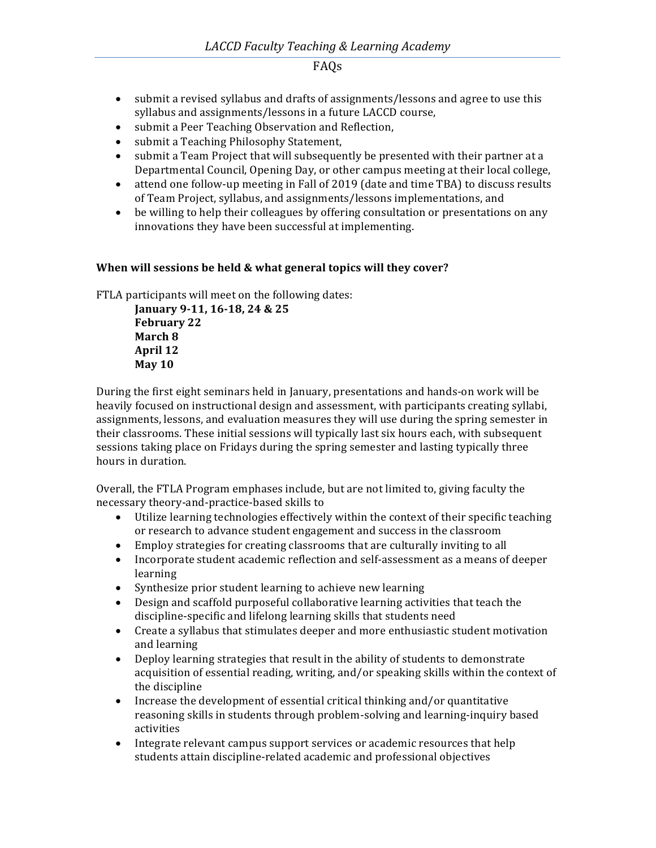- submit a revised syllabus and drafts of assignments/lessons and agree to use this syllabus and assignments/lessons in a future LACCD course,
- submit a Peer Teaching Observation and Reflection,
- submit a Teaching Philosophy Statement,
- submit a Team Project that will subsequently be presented with their partner at a Departmental Council, Opening Day, or other campus meeting at their local college,
- attend one follow-up meeting in Fall of 2019 (date and time TBA) to discuss results of Team Project, syllabus, and assignments/lessons implementations, and
- be willing to help their colleagues by offering consultation or presentations on any innovations they have been successful at implementing.

### When will sessions be held & what general topics will they cover?

FTLA participants will meet on the following dates:

January 9-11, 16-18, 24 & 25 **February 22 March 8 April 12 May 10**

During the first eight seminars held in January, presentations and hands-on work will be heavily focused on instructional design and assessment, with participants creating syllabi, assignments, lessons, and evaluation measures they will use during the spring semester in their classrooms. These initial sessions will typically last six hours each, with subsequent sessions taking place on Fridays during the spring semester and lasting typically three hours in duration.

Overall, the FTLA Program emphases include, but are not limited to, giving faculty the necessary theory-and-practice-based skills to

- Utilize learning technologies effectively within the context of their specific teaching or research to advance student engagement and success in the classroom
- Employ strategies for creating classrooms that are culturally inviting to all
- Incorporate student academic reflection and self-assessment as a means of deeper learning
- Synthesize prior student learning to achieve new learning
- Design and scaffold purposeful collaborative learning activities that teach the discipline-specific and lifelong learning skills that students need
- Create a syllabus that stimulates deeper and more enthusiastic student motivation and learning
- Deploy learning strategies that result in the ability of students to demonstrate acquisition of essential reading, writing, and/or speaking skills within the context of the discipline
- Increase the development of essential critical thinking and/or quantitative reasoning skills in students through problem-solving and learning-inquiry based activities
- Integrate relevant campus support services or academic resources that help students attain discipline-related academic and professional objectives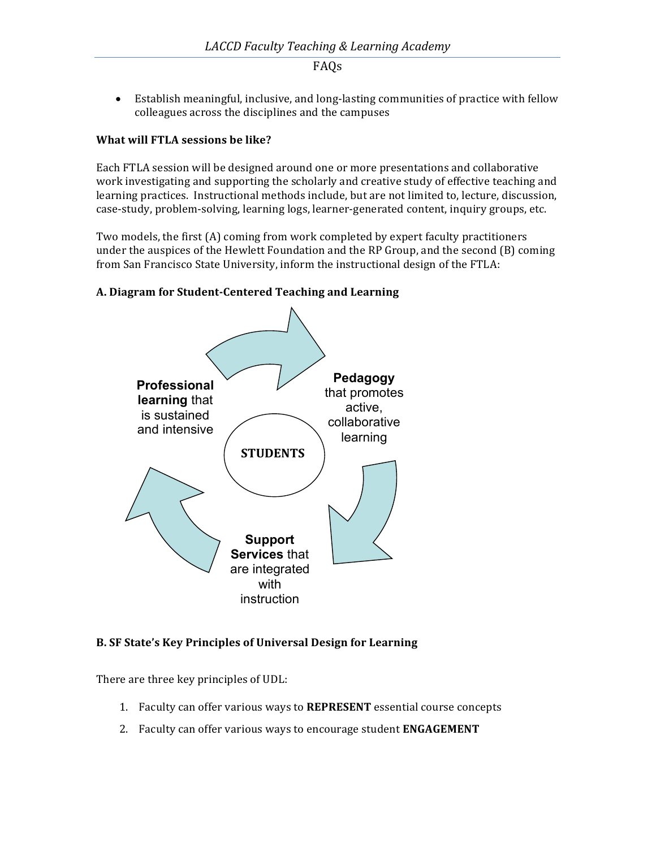• Establish meaningful, inclusive, and long-lasting communities of practice with fellow colleagues across the disciplines and the campuses

### **What will FTLA sessions be like?**

Each FTLA session will be designed around one or more presentations and collaborative work investigating and supporting the scholarly and creative study of effective teaching and learning practices. Instructional methods include, but are not limited to, lecture, discussion, case-study, problem-solving, learning logs, learner-generated content, inquiry groups, etc.

Two models, the first  $(A)$  coming from work completed by expert faculty practitioners under the auspices of the Hewlett Foundation and the RP Group, and the second  $(B)$  coming from San Francisco State University, inform the instructional design of the FTLA:

# **A. Diagram for Student-Centered Teaching and Learning**



#### **B. SF State's Key Principles of Universal Design for Learning**

There are three key principles of UDL:

- 1. Faculty can offer various ways to REPRESENT essential course concepts
- 2. Faculty can offer various ways to encourage student **ENGAGEMENT**